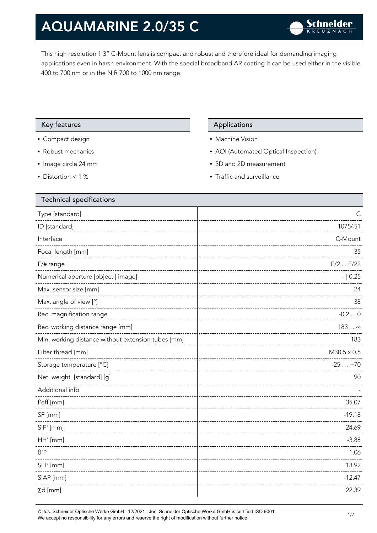This high resolution 1.3" C-Mount lens is compact and robust and therefore ideal for demanding imaging applications even in harsh environment. With the special broadband AR coating it can be used either in the visible 400 to 700 nm or in the NIR 700 to 1000 nm range.

### Key features **Applications** Applications

- Compact design
- Robust mechanics
- Image circle 24 mm
- Distortion < 1 %

- Machine Vision
- AOI (Automated Optical Inspection)
- 3D and 2D measurement
- Traffic and surveillance

| <b>Technical specifications</b>                    |                    |
|----------------------------------------------------|--------------------|
| Type [standard]                                    | C                  |
| ID [standard]                                      | 1075451            |
| Interface                                          | C-Mount            |
| Focal length [mm]                                  | 35                 |
| F/# range                                          | $F/2$ $F/22$       |
| Numerical aperture [object   image]                | $- 0.25$           |
| Max. sensor size [mm]                              | 24                 |
| Max. angle of view [°]                             | 38                 |
| Rec. magnification range                           | $-0.20$            |
| Rec. working distance range [mm]                   | 183  ∞             |
| Min. working distance without extension tubes [mm] | 183                |
| Filter thread [mm]                                 | $M30.5 \times 0.5$ |
| Storage temperature [°C]                           | $-25+70$           |
| Net. weight [standard] [g]                         | 90                 |
| Additional info                                    |                    |
| f'eff [mm]                                         | 35.07              |
| SF [mm]                                            | $-19.18$           |
| $S'F'$ [mm]                                        | 24.69              |
| HH' [mm]                                           | $-3.88$            |
| $\beta'$ P                                         | 1.06               |
| SEP [mm]                                           | 13.92              |
| S'AP [mm]                                          | $-12.47$           |
| $\Sigma d$ [mm]                                    | 22.39              |
|                                                    |                    |

© Jos. Schneider Optische Werke GmbH | 12/2021 | Jos. Schneider Optische Werke GmbH is certified ISO 9001. We accept no responsibility for any errors and reserve the right of modification without further notice.<br>We accept no responsibility for any errors and reserve the right of modification without further notice.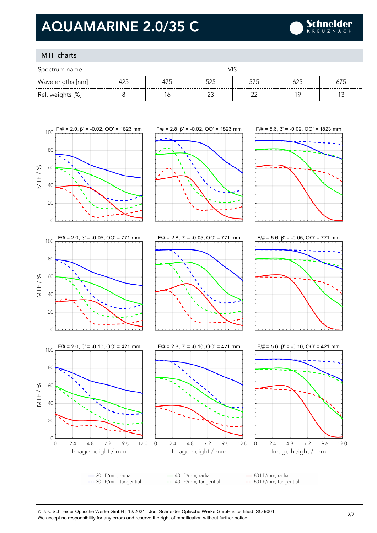

### MTF charts

| Spectrum name    | VIS |     |     |     |     |     |
|------------------|-----|-----|-----|-----|-----|-----|
| Wavelengths [nm] | 425 | 4/5 | 525 | 575 |     | 675 |
| Rel. weights [%] |     | Ó   |     |     | 1 C |     |

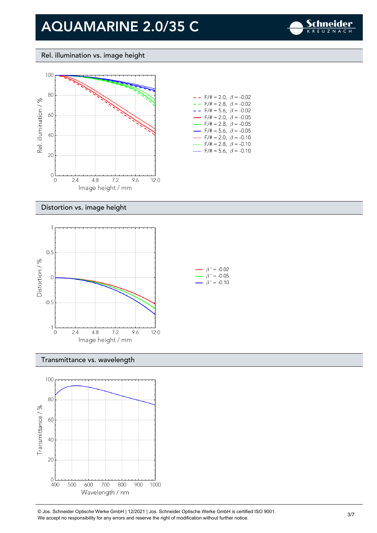

Rel. illumination vs. image height



| $- -$ F/# = 2.0, $\beta$ = -0.02         |
|------------------------------------------|
| $- -$ F/# = 2.8, $\beta$ = -0.02         |
| $- -$ F/# = 5.6, $\beta$ = -0.02         |
| $\rightarrow$ F/# = 2.0, $\beta$ = -0.05 |
| $\rightarrow$ F/# = 2.8, $\beta$ = -0.05 |
| $\rightarrow$ F/# = 5.6, $\beta$ = -0.05 |
| F/# = 2.0, $\beta$ = -0.10               |
| F/# = 2.8, $\beta$ = -0.10               |
| $F/\ddot{=} = 5.6$ , $\beta = -0.10$     |

#### Distortion vs. image height



#### Transmittance vs. wavelength



© Jos. Schneider Optische Werke GmbH | 12/2021 | Jos. Schneider Optische Werke GmbH is certified ISO 9001. We accept no responsibility for any errors and reserve the right of modification without further notice.<br>We accept no responsibility for any errors and reserve the right of modification without further notice.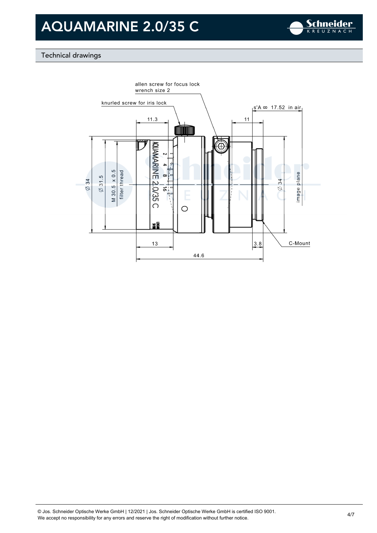

### Technical drawings

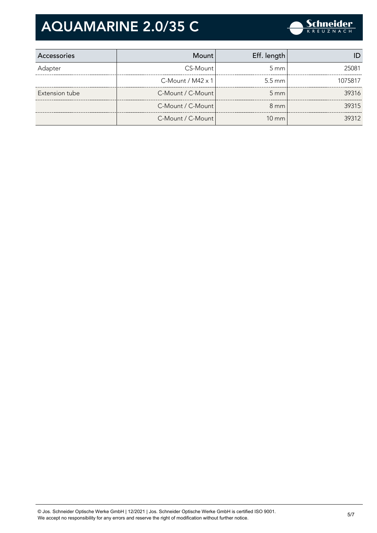

| Accessories    | Mount l                     | Eff. length        |         |
|----------------|-----------------------------|--------------------|---------|
| Adapter        | CS-Mount                    | $5 \text{ mm}$     | 25081   |
|                | $C$ -Mount / M42 $\times$ 1 | $5.5 \text{ mm}$   | 1075817 |
| Extension tube | C-Mount / C-Mount           | $5 \, \mathrm{mm}$ | 39316   |
|                | C-Mount / C-Mount           | $8 \text{ mm}$     | 39315   |
|                | C-Mount / C-Mount           | $10 \text{ mm}$    | 39312   |